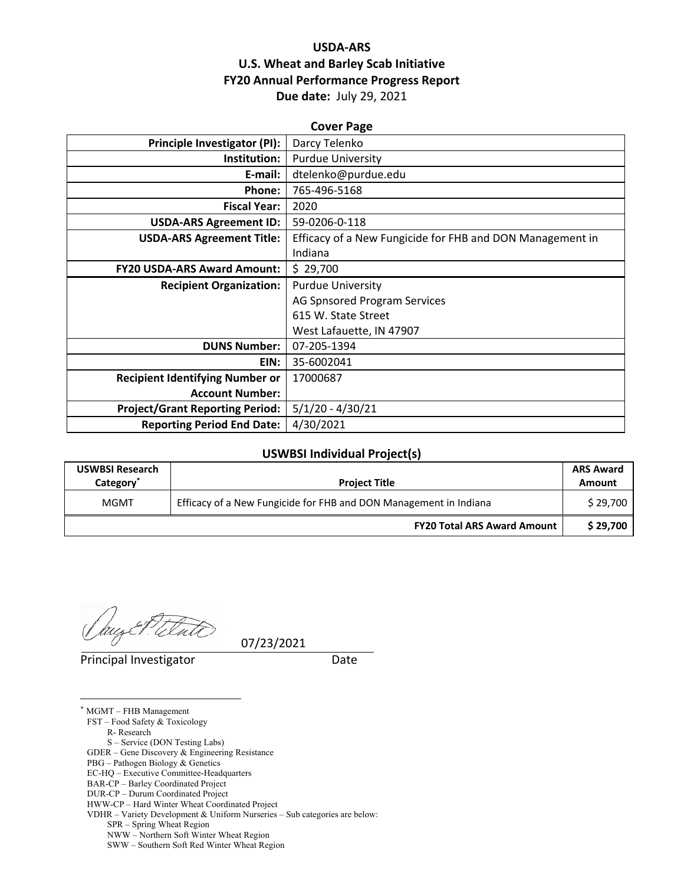## **USDA‐ARS U.S. Wheat and Barley Scab Initiative FY20 Annual Performance Progress Report Due date:** July 29, 2021

| <b>Cover Page</b>                      |                                                           |  |  |  |
|----------------------------------------|-----------------------------------------------------------|--|--|--|
| <b>Principle Investigator (PI):</b>    | Darcy Telenko                                             |  |  |  |
| Institution:                           | <b>Purdue University</b>                                  |  |  |  |
| E-mail:                                | dtelenko@purdue.edu                                       |  |  |  |
| Phone:                                 | 765-496-5168                                              |  |  |  |
| <b>Fiscal Year:</b>                    | 2020                                                      |  |  |  |
| <b>USDA-ARS Agreement ID:</b>          | 59-0206-0-118                                             |  |  |  |
| <b>USDA-ARS Agreement Title:</b>       | Efficacy of a New Fungicide for FHB and DON Management in |  |  |  |
|                                        | Indiana                                                   |  |  |  |
| <b>FY20 USDA-ARS Award Amount:</b>     | \$29,700                                                  |  |  |  |
| <b>Recipient Organization:</b>         | <b>Purdue University</b>                                  |  |  |  |
|                                        | AG Spnsored Program Services                              |  |  |  |
|                                        | 615 W. State Street                                       |  |  |  |
|                                        | West Lafauette, IN 47907                                  |  |  |  |
| <b>DUNS Number:</b>                    | 07-205-1394                                               |  |  |  |
| EIN:                                   | 35-6002041                                                |  |  |  |
| <b>Recipient Identifying Number or</b> | 17000687                                                  |  |  |  |
| <b>Account Number:</b>                 |                                                           |  |  |  |
| <b>Project/Grant Reporting Period:</b> | $5/1/20 - 4/30/21$                                        |  |  |  |
| <b>Reporting Period End Date:</b>      | 4/30/2021                                                 |  |  |  |

#### **USWBSI Individual Project(s)**

| <b>USWBSI Research</b><br>Category <sup>*</sup> | <b>Project Title</b>                                              | <b>ARS Award</b><br>Amount |
|-------------------------------------------------|-------------------------------------------------------------------|----------------------------|
| <b>MGMT</b>                                     | Efficacy of a New Fungicide for FHB and DON Management in Indiana |                            |
|                                                 | <b>FY20 Total ARS Award Amount</b>                                | \$29.700                   |

Principal Investigator **Date** 

 $\overline{a}$ \* MGMT – FHB Management FST – Food Safety & Toxicology R- Research S – Service (DON Testing Labs) GDER – Gene Discovery & Engineering Resistance PBG – Pathogen Biology & Genetics EC-HQ – Executive Committee-Headquarters BAR-CP – Barley Coordinated Project DUR-CP – Durum Coordinated Project HWW-CP – Hard Winter Wheat Coordinated Project VDHR – Variety Development & Uniform Nurseries – Sub categories are below: SPR – Spring Wheat Region NWW – Northern Soft Winter Wheat Region SWW – Southern Soft Red Winter Wheat Region

07/23/2021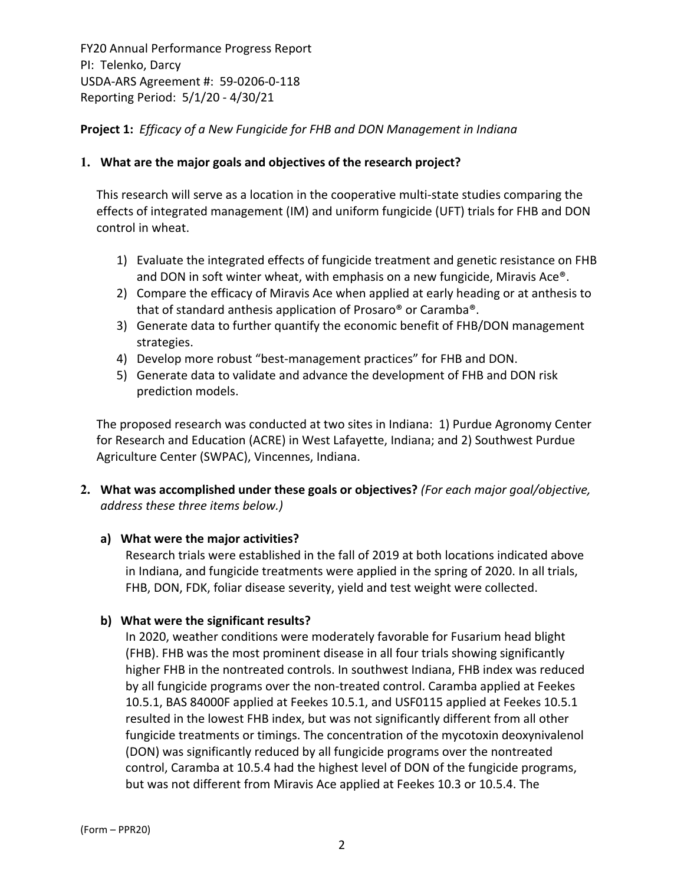## **Project 1:** *Efficacy of a New Fungicide for FHB and DON Management in Indiana*

#### **1. What are the major goals and objectives of the research project?**

This research will serve as a location in the cooperative multi‐state studies comparing the effects of integrated management (IM) and uniform fungicide (UFT) trials for FHB and DON control in wheat.

- 1) Evaluate the integrated effects of fungicide treatment and genetic resistance on FHB and DON in soft winter wheat, with emphasis on a new fungicide, Miravis Ace®.
- 2) Compare the efficacy of Miravis Ace when applied at early heading or at anthesis to that of standard anthesis application of Prosaro® or Caramba®.
- 3) Generate data to further quantify the economic benefit of FHB/DON management strategies.
- 4) Develop more robust "best-management practices" for FHB and DON.
- 5) Generate data to validate and advance the development of FHB and DON risk prediction models.

The proposed research was conducted at two sites in Indiana: 1) Purdue Agronomy Center for Research and Education (ACRE) in West Lafayette, Indiana; and 2) Southwest Purdue Agriculture Center (SWPAC), Vincennes, Indiana.

**2. What was accomplished under these goals or objectives?** *(For each major goal/objective, address these three items below.)*

#### **a) What were the major activities?**

Research trials were established in the fall of 2019 at both locations indicated above in Indiana, and fungicide treatments were applied in the spring of 2020. In all trials, FHB, DON, FDK, foliar disease severity, yield and test weight were collected.

#### **b) What were the significant results?**

In 2020, weather conditions were moderately favorable for Fusarium head blight (FHB). FHB was the most prominent disease in all four trials showing significantly higher FHB in the nontreated controls. In southwest Indiana, FHB index was reduced by all fungicide programs over the non-treated control. Caramba applied at Feekes 10.5.1, BAS 84000F applied at Feekes 10.5.1, and USF0115 applied at Feekes 10.5.1 resulted in the lowest FHB index, but was not significantly different from all other fungicide treatments or timings. The concentration of the mycotoxin deoxynivalenol (DON) was significantly reduced by all fungicide programs over the nontreated control, Caramba at 10.5.4 had the highest level of DON of the fungicide programs, but was not different from Miravis Ace applied at Feekes 10.3 or 10.5.4. The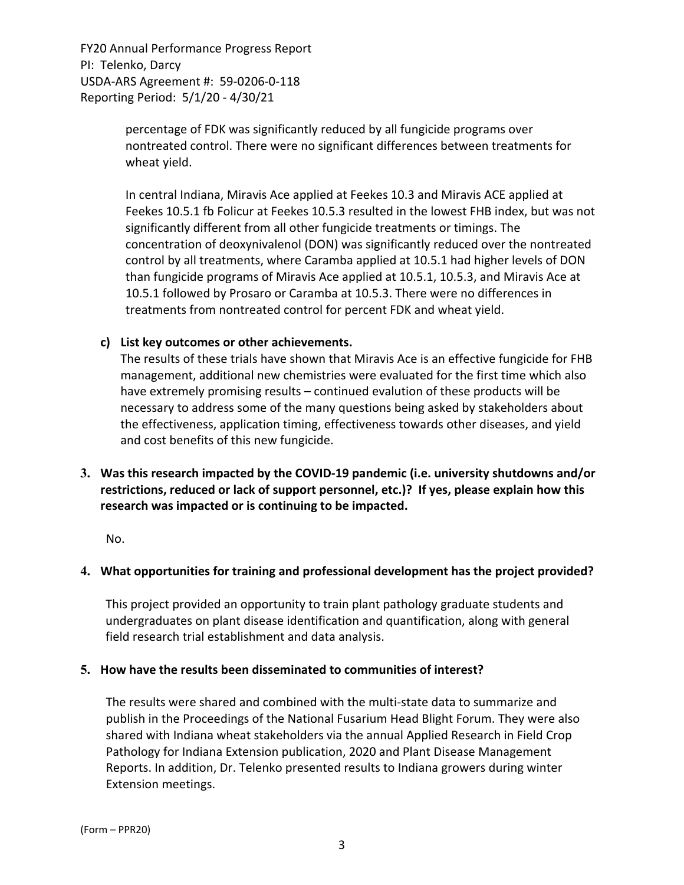> percentage of FDK was significantly reduced by all fungicide programs over nontreated control. There were no significant differences between treatments for wheat yield.

In central Indiana, Miravis Ace applied at Feekes 10.3 and Miravis ACE applied at Feekes 10.5.1 fb Folicur at Feekes 10.5.3 resulted in the lowest FHB index, but was not significantly different from all other fungicide treatments or timings. The concentration of deoxynivalenol (DON) was significantly reduced over the nontreated control by all treatments, where Caramba applied at 10.5.1 had higher levels of DON than fungicide programs of Miravis Ace applied at 10.5.1, 10.5.3, and Miravis Ace at 10.5.1 followed by Prosaro or Caramba at 10.5.3. There were no differences in treatments from nontreated control for percent FDK and wheat yield.

### **c) List key outcomes or other achievements.**

The results of these trials have shown that Miravis Ace is an effective fungicide for FHB management, additional new chemistries were evaluated for the first time which also have extremely promising results – continued evalution of these products will be necessary to address some of the many questions being asked by stakeholders about the effectiveness, application timing, effectiveness towards other diseases, and yield and cost benefits of this new fungicide.

**3. Was this research impacted by the COVID‐19 pandemic (i.e. university shutdowns and/or restrictions, reduced or lack of support personnel, etc.)? If yes, please explain how this research was impacted or is continuing to be impacted.**

No.

## **4. What opportunities for training and professional development has the project provided?**

This project provided an opportunity to train plant pathology graduate students and undergraduates on plant disease identification and quantification, along with general field research trial establishment and data analysis.

#### **5. How have the results been disseminated to communities of interest?**

The results were shared and combined with the multi‐state data to summarize and publish in the Proceedings of the National Fusarium Head Blight Forum. They were also shared with Indiana wheat stakeholders via the annual Applied Research in Field Crop Pathology for Indiana Extension publication, 2020 and Plant Disease Management Reports. In addition, Dr. Telenko presented results to Indiana growers during winter Extension meetings.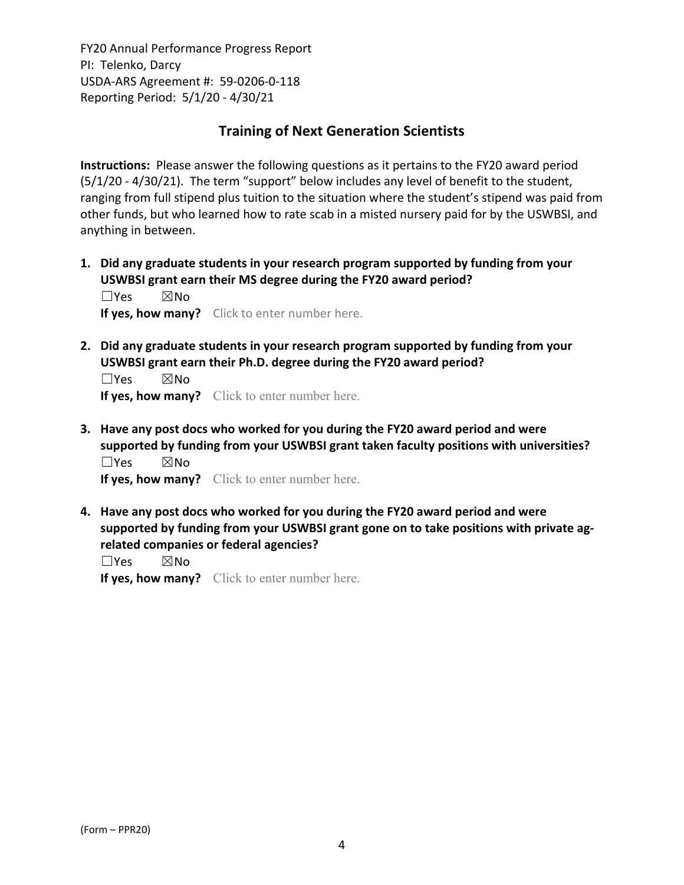# **Training of Next Generation Scientists**

**Instructions:** Please answer the following questions as it pertains to the FY20 award period (5/1/20 ‐ 4/30/21). The term "support" below includes any level of benefit to the student, ranging from full stipend plus tuition to the situation where the student's stipend was paid from other funds, but who learned how to rate scab in a misted nursery paid for by the USWBSI, and anything in between.

**1. Did any graduate students in your research program supported by funding from your USWBSI grant earn their MS degree during the FY20 award period?** ☐Yes ☒No

**If yes, how many?** Click to enter number here.

**2. Did any graduate students in your research program supported by funding from your USWBSI grant earn their Ph.D. degree during the FY20 award period?** ☐Yes ☒No

**If yes, how many?** Click to enter number here.

**3. Have any post docs who worked for you during the FY20 award period and were supported by funding from your USWBSI grant taken faculty positions with universities?** ☐Yes ☒No

**If yes, how many?** Click to enter number here.

**4. Have any post docs who worked for you during the FY20 award period and were supported by funding from your USWBSI grant gone on to take positions with private ag‐ related companies or federal agencies?**

☐Yes ☒No

**If yes, how many?** Click to enter number here.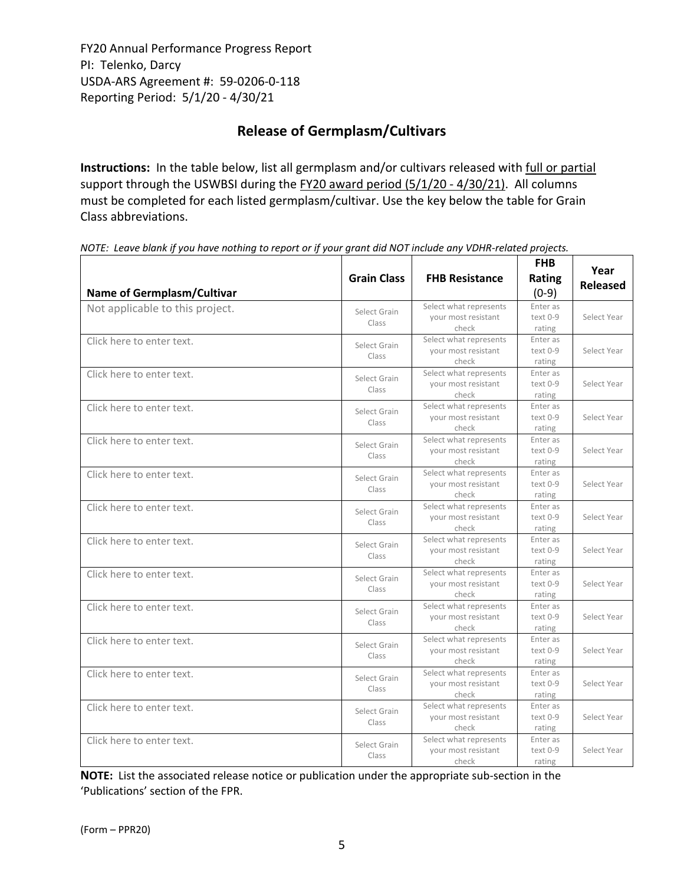# **Release of Germplasm/Cultivars**

**Instructions:** In the table below, list all germplasm and/or cultivars released with full or partial support through the USWBSI during the FY20 award period (5/1/20 - 4/30/21). All columns must be completed for each listed germplasm/cultivar. Use the key below the table for Grain Class abbreviations. 

| <b>Name of Germplasm/Cultivar</b> | <b>Grain Class</b>    | <b>FHB Resistance</b>                                  | <b>FHB</b><br>Rating<br>$(0-9)$  | Year<br><b>Released</b> |
|-----------------------------------|-----------------------|--------------------------------------------------------|----------------------------------|-------------------------|
| Not applicable to this project.   | Select Grain<br>Class | Select what represents<br>your most resistant<br>check | Enter as<br>$text 0-9$<br>rating | Select Year             |
| Click here to enter text.         | Select Grain<br>Class | Select what represents<br>your most resistant<br>check | Enter as<br>text 0-9<br>rating   | Select Year             |
| Click here to enter text.         | Select Grain<br>Class | Select what represents<br>your most resistant<br>check | Enter as<br>text 0-9<br>rating   | Select Year             |
| Click here to enter text.         | Select Grain<br>Class | Select what represents<br>your most resistant<br>check | Enter as<br>text 0-9<br>rating   | Select Year             |
| Click here to enter text.         | Select Grain<br>Class | Select what represents<br>your most resistant<br>check | Enter as<br>text 0-9<br>rating   | Select Year             |
| Click here to enter text.         | Select Grain<br>Class | Select what represents<br>your most resistant<br>check | Enter as<br>text 0-9<br>rating   | Select Year             |
| Click here to enter text.         | Select Grain<br>Class | Select what represents<br>your most resistant<br>check | Enter as<br>text 0-9<br>rating   | Select Year             |
| Click here to enter text.         | Select Grain<br>Class | Select what represents<br>your most resistant<br>check | Enter as<br>text 0-9<br>rating   | Select Year             |
| Click here to enter text.         | Select Grain<br>Class | Select what represents<br>your most resistant<br>check | Enter as<br>text 0-9<br>rating   | Select Year             |
| Click here to enter text.         | Select Grain<br>Class | Select what represents<br>your most resistant<br>check | Enter as<br>text 0-9<br>rating   | Select Year             |
| Click here to enter text.         | Select Grain<br>Class | Select what represents<br>your most resistant<br>check | Enter as<br>text 0-9<br>rating   | Select Year             |
| Click here to enter text.         | Select Grain<br>Class | Select what represents<br>vour most resistant<br>check | Enter as<br>text 0-9<br>rating   | Select Year             |
| Click here to enter text.         | Select Grain<br>Class | Select what represents<br>your most resistant<br>check | Enter as<br>text 0-9<br>rating   | Select Year             |
| Click here to enter text.         | Select Grain<br>Class | Select what represents<br>your most resistant<br>check | Enter as<br>text 0-9<br>rating   | Select Year             |

NOTE: Leave blank if you have nothing to report or if your grant did NOT include any VDHR-related projects.

**NOTE:** List the associated release notice or publication under the appropriate sub-section in the 'Publications' section of the FPR.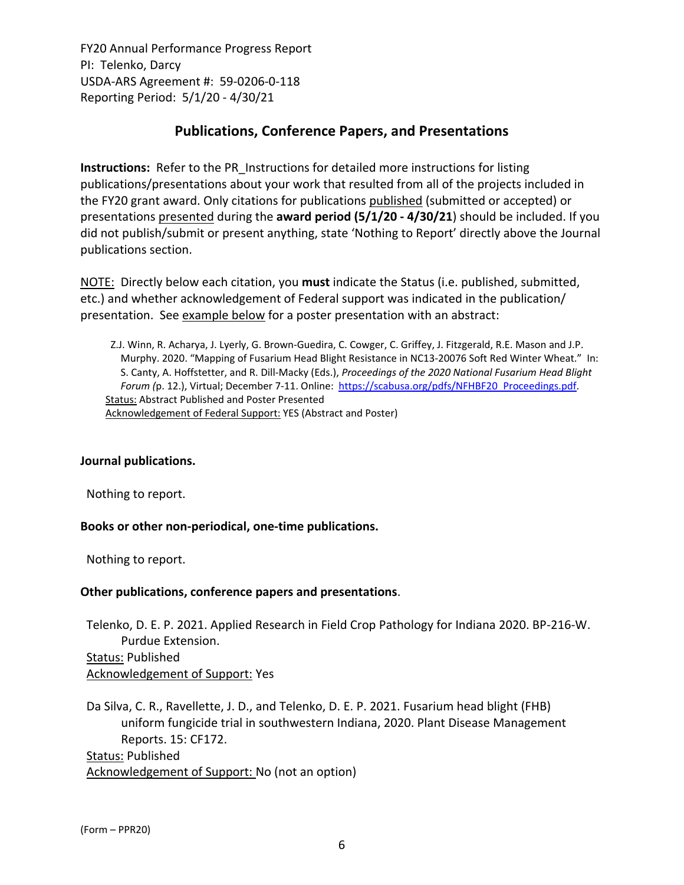# **Publications, Conference Papers, and Presentations**

**Instructions:** Refer to the PR\_Instructions for detailed more instructions for listing publications/presentations about your work that resulted from all of the projects included in the FY20 grant award. Only citations for publications published (submitted or accepted) or presentations presented during the **award period (5/1/20 ‐ 4/30/21**) should be included. If you did not publish/submit or present anything, state 'Nothing to Report' directly above the Journal publications section.

NOTE: Directly below each citation, you **must** indicate the Status (i.e. published, submitted, etc.) and whether acknowledgement of Federal support was indicated in the publication/ presentation. See example below for a poster presentation with an abstract:

Z.J. Winn, R. Acharya, J. Lyerly, G. Brown‐Guedira, C. Cowger, C. Griffey, J. Fitzgerald, R.E. Mason and J.P. Murphy. 2020. "Mapping of Fusarium Head Blight Resistance in NC13‐20076 Soft Red Winter Wheat." In: S. Canty, A. Hoffstetter, and R. Dill‐Macky (Eds.), *Proceedings of the 2020 National Fusarium Head Blight Forum (*p. 12.), Virtual; December 7‐11. Online: https://scabusa.org/pdfs/NFHBF20\_Proceedings.pdf. Status: Abstract Published and Poster Presented Acknowledgement of Federal Support: YES (Abstract and Poster)

#### **Journal publications.**

Nothing to report.

#### **Books or other non‐periodical, one‐time publications.**

Nothing to report.

#### **Other publications, conference papers and presentations**.

Telenko, D. E. P. 2021. Applied Research in Field Crop Pathology for Indiana 2020. BP‐216‐W. Purdue Extension. Status: Published Acknowledgement of Support: Yes

Da Silva, C. R., Ravellette, J. D., and Telenko, D. E. P. 2021. Fusarium head blight (FHB) uniform fungicide trial in southwestern Indiana, 2020. Plant Disease Management Reports. 15: CF172. Status: Published

Acknowledgement of Support: No (not an option)